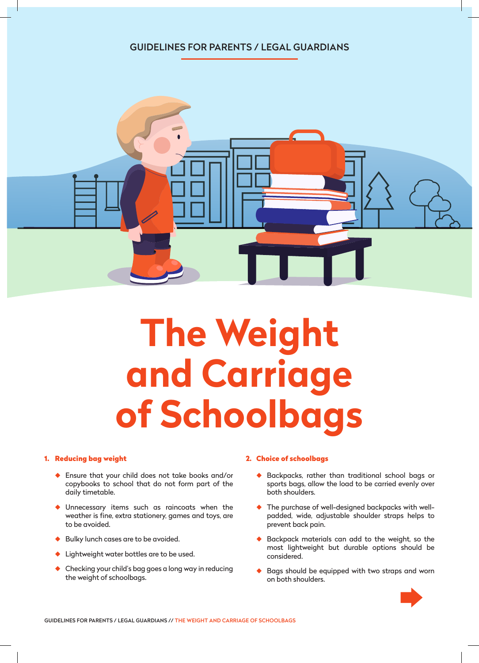## GUIDELINES FOR PARENTS / LEGAL GUARDIANS



# **The Weight and Carriage of Schoolbags**

#### 1. Reducing bag weight

- ◆ Ensure that your child does not take books and/or copybooks to school that do not form part of the daily timetable.
- ◆ Unnecessary items such as raincoats when the weather is fine, extra stationery, games and toys, are to be avoided.
- Bulky lunch cases are to be avoided.
- Lightweight water bottles are to be used.
- Checking your child's bag goes a long way in reducing the weight of schoolbags.

#### 2. Choice of schoolbags

- ◆ Backpacks, rather than traditional school bags or sports bags, allow the load to be carried evenly over both shoulders.
- ◆ The purchase of well-designed backpacks with wellpadded, wide, adjustable shoulder straps helps to prevent back pain.
- ◆ Backpack materials can add to the weight, so the most lightweight but durable options should be considered.
- ◆ Bags should be equipped with two straps and worn on both shoulders.